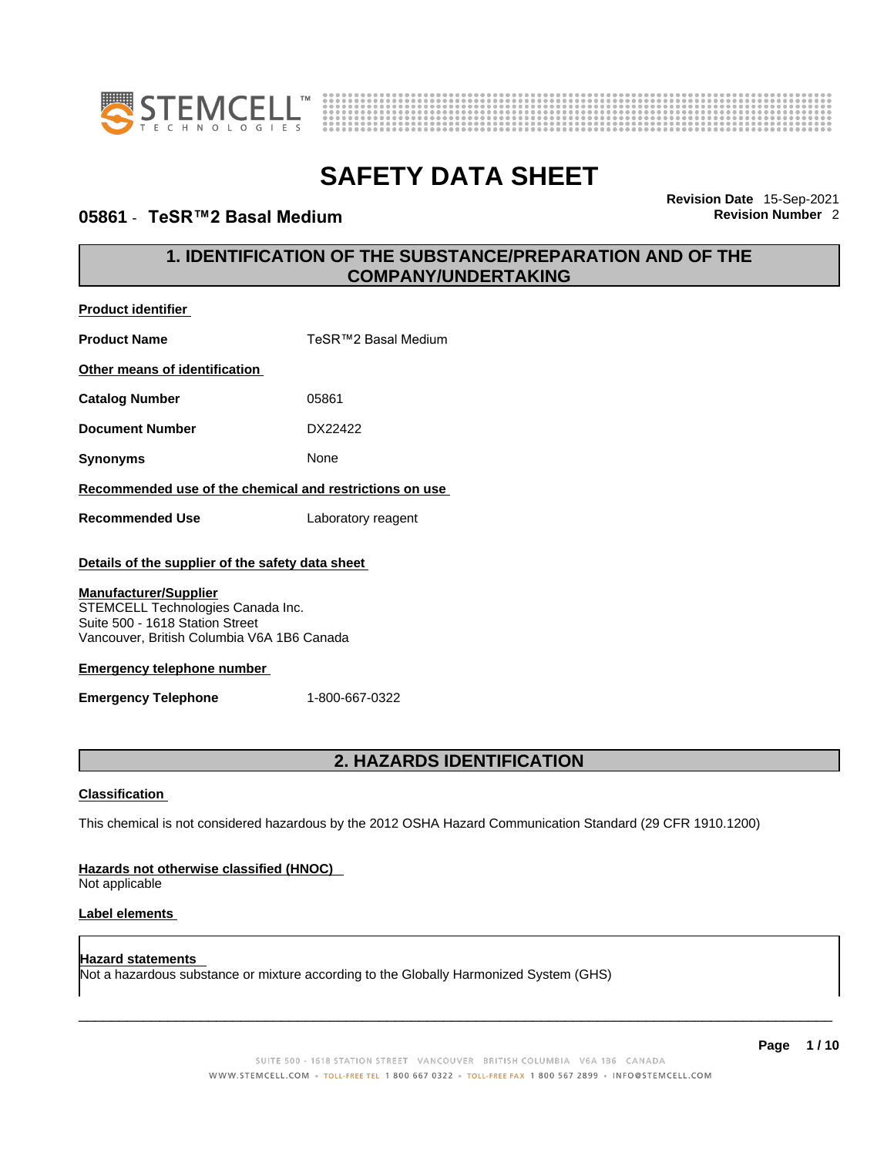



### **05861 · TeSR™2 Basal Medium**

**Revision Date** 15-Sep-2021

### **1. IDENTIFICATION OF THE SUBSTANCE/PREPARATION AND OF THE COMPANY/UNDERTAKING**

| Product identifier                                                                                                                                                                                                                                                        |                                                                                                             |  |
|---------------------------------------------------------------------------------------------------------------------------------------------------------------------------------------------------------------------------------------------------------------------------|-------------------------------------------------------------------------------------------------------------|--|
| <b>Product Name</b>                                                                                                                                                                                                                                                       | TeSR™2 Basal Medium                                                                                         |  |
| Other means of identification                                                                                                                                                                                                                                             |                                                                                                             |  |
| <b>Catalog Number</b>                                                                                                                                                                                                                                                     | 05861                                                                                                       |  |
| <b>Document Number</b>                                                                                                                                                                                                                                                    | DX22422                                                                                                     |  |
| <b>Synonyms</b>                                                                                                                                                                                                                                                           | None                                                                                                        |  |
| Recommended use of the chemical and restrictions on use                                                                                                                                                                                                                   |                                                                                                             |  |
| <b>Recommended Use</b>                                                                                                                                                                                                                                                    | Laboratory reagent                                                                                          |  |
| Details of the supplier of the safety data sheet<br><b>Manufacturer/Supplier</b><br>STEMCELL Technologies Canada Inc.<br>Suite 500 - 1618 Station Street<br>Vancouver, British Columbia V6A 1B6 Canada<br><b>Emergency telephone number</b><br><b>Emergency Telephone</b> | 1-800-667-0322                                                                                              |  |
| 2. HAZARDS IDENTIFICATION                                                                                                                                                                                                                                                 |                                                                                                             |  |
| <b>Classification</b>                                                                                                                                                                                                                                                     |                                                                                                             |  |
|                                                                                                                                                                                                                                                                           | This chemical is not considered hazardous by the 2012 OSHA Hazard Communication Standard (29 CFR 1910.1200) |  |
| Hazards not otherwise classified (HNOC)<br>Not applicable                                                                                                                                                                                                                 |                                                                                                             |  |

#### **Label elements**

**Hazard statements**  Not a hazardous substance or mixture according to the Globally Harmonized System (GHS)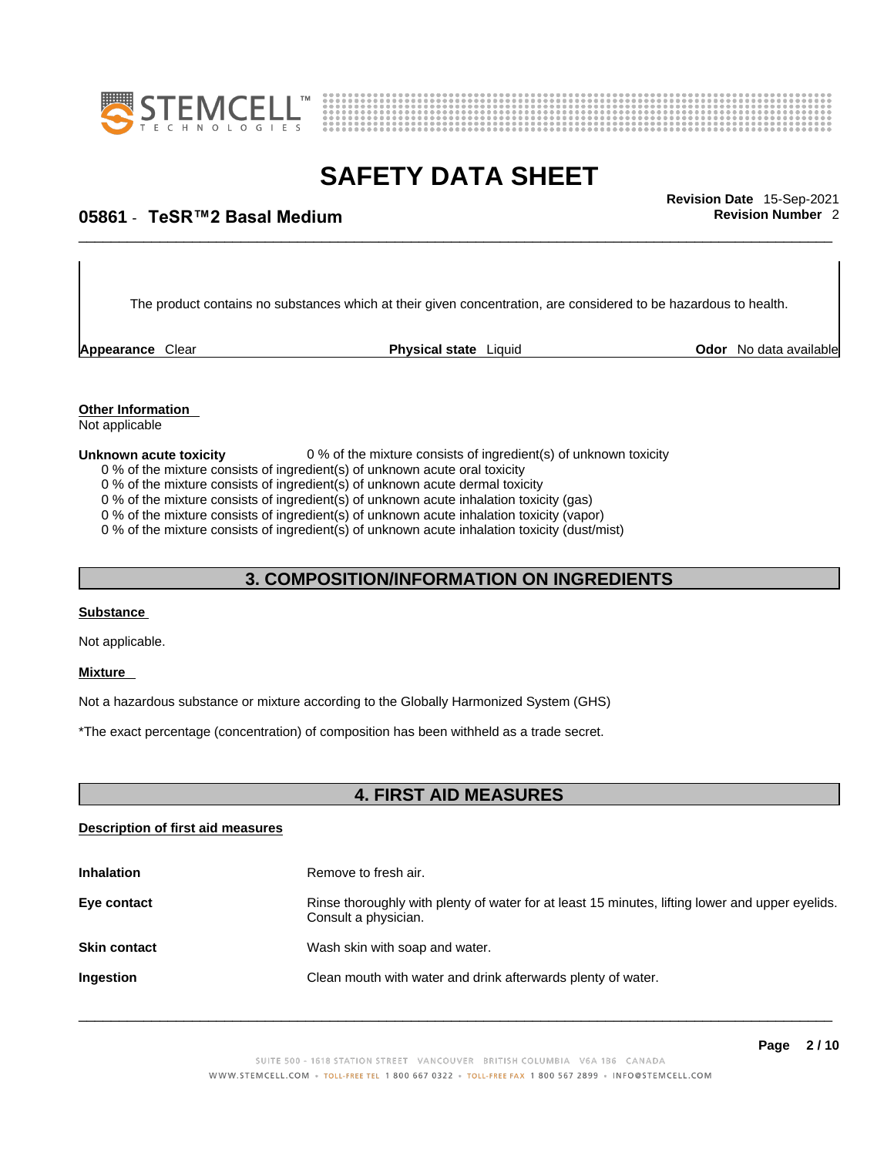



## \_\_\_\_\_\_\_\_\_\_\_\_\_\_\_\_\_\_\_\_\_\_\_\_\_\_\_\_\_\_\_\_\_\_\_\_\_\_\_\_\_\_\_\_\_\_\_\_\_\_\_\_\_\_\_\_\_\_\_\_\_\_\_\_\_\_\_\_\_\_\_\_\_\_\_\_\_\_\_\_\_\_\_\_\_\_\_\_\_\_\_\_\_ **Revision Date** 15-Sep-2021 **05861** - **TeSR™2 Basal Medium Revision Number** 2

The product contains no substances which at their given concentration, are considered to be hazardous to health.

**Appearance** Clear **Physical state** Liquid

**Odor** No data available

**Other Information**  Not applicable

#### **Unknown acute toxicity** 0 % of the mixture consists of ingredient(s) of unknown toxicity

0 % of the mixture consists of ingredient(s) of unknown acute oral toxicity

0 % of the mixture consists of ingredient(s) of unknown acute dermal toxicity

0 % of the mixture consists of ingredient(s) of unknown acute inhalation toxicity (gas)

0 % of the mixture consists of ingredient(s) of unknown acute inhalation toxicity (vapor)

0 % of the mixture consists of ingredient(s) of unknown acute inhalation toxicity (dust/mist)

### **3. COMPOSITION/INFORMATION ON INGREDIENTS**

#### **Substance**

Not applicable.

#### **Mixture**

Not a hazardous substance or mixture according to the Globally Harmonized System (GHS)

\*The exact percentage (concentration) of composition has been withheld as a trade secret.

### **4. FIRST AID MEASURES**

### **Description of first aid measures**

| <b>Inhalation</b>   | Remove to fresh air.                                                                                                    |
|---------------------|-------------------------------------------------------------------------------------------------------------------------|
| Eye contact         | Rinse thoroughly with plenty of water for at least 15 minutes, lifting lower and upper eyelids.<br>Consult a physician. |
| <b>Skin contact</b> | Wash skin with soap and water.                                                                                          |
| <b>Ingestion</b>    | Clean mouth with water and drink afterwards plenty of water.                                                            |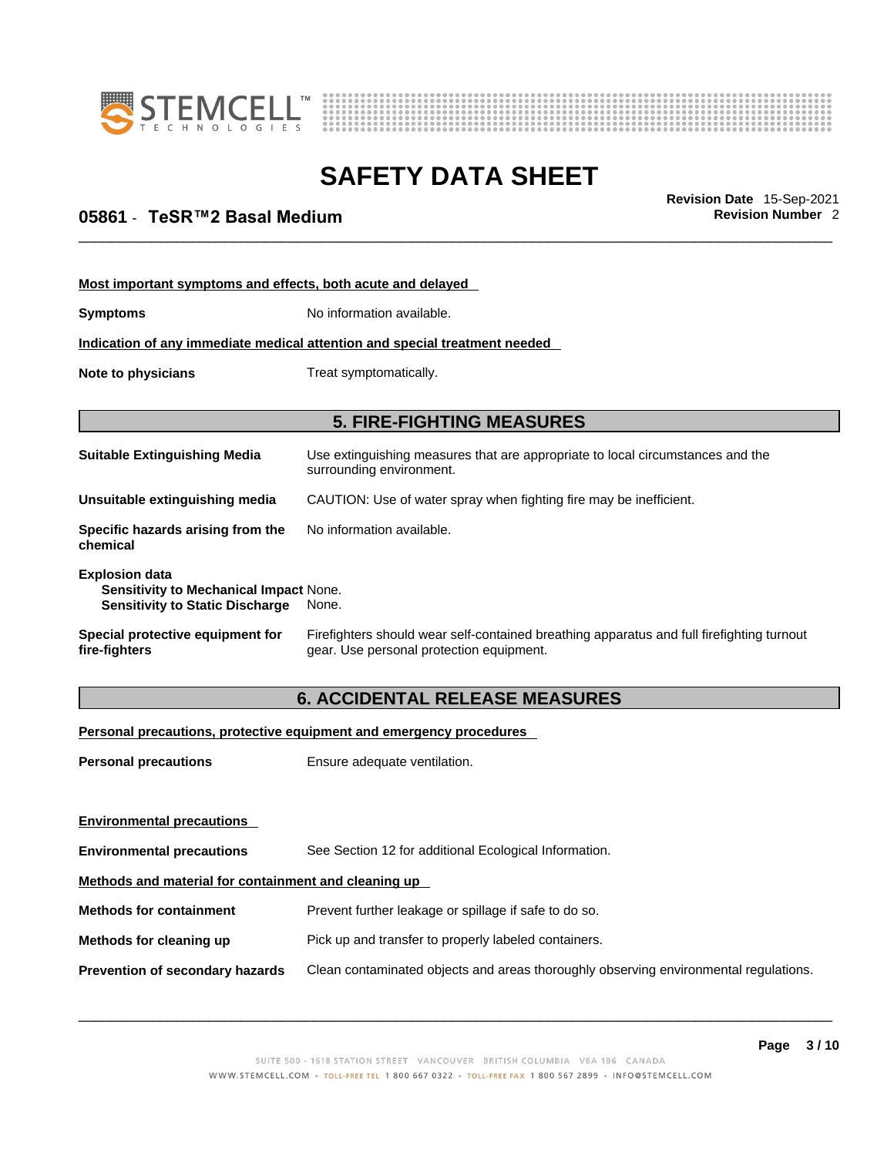



## \_\_\_\_\_\_\_\_\_\_\_\_\_\_\_\_\_\_\_\_\_\_\_\_\_\_\_\_\_\_\_\_\_\_\_\_\_\_\_\_\_\_\_\_\_\_\_\_\_\_\_\_\_\_\_\_\_\_\_\_\_\_\_\_\_\_\_\_\_\_\_\_\_\_\_\_\_\_\_\_\_\_\_\_\_\_\_\_\_\_\_\_\_ **Revision Date** 15-Sep-2021 **05861** - **TeSR™2 Basal Medium Revision Number** 2

| Most important symptoms and effects, both acute and delayed                                                      |                                                                                                                                       |  |
|------------------------------------------------------------------------------------------------------------------|---------------------------------------------------------------------------------------------------------------------------------------|--|
| <b>Symptoms</b>                                                                                                  | No information available.                                                                                                             |  |
| Indication of any immediate medical attention and special treatment needed                                       |                                                                                                                                       |  |
| Note to physicians                                                                                               | Treat symptomatically.                                                                                                                |  |
|                                                                                                                  |                                                                                                                                       |  |
|                                                                                                                  | <b>5. FIRE-FIGHTING MEASURES</b>                                                                                                      |  |
| <b>Suitable Extinguishing Media</b>                                                                              | Use extinguishing measures that are appropriate to local circumstances and the<br>surrounding environment.                            |  |
| Unsuitable extinguishing media                                                                                   | CAUTION: Use of water spray when fighting fire may be inefficient.                                                                    |  |
| Specific hazards arising from the<br>chemical                                                                    | No information available.                                                                                                             |  |
| <b>Explosion data</b><br><b>Sensitivity to Mechanical Impact None.</b><br><b>Sensitivity to Static Discharge</b> | None.                                                                                                                                 |  |
| Special protective equipment for<br>fire-fighters                                                                | Firefighters should wear self-contained breathing apparatus and full firefighting turnout<br>gear. Use personal protection equipment. |  |

### **6. ACCIDENTAL RELEASE MEASURES**

### **Personal precautions, protective equipment and emergency procedures**

| <b>Personal precautions</b>                          | Ensure adequate ventilation.                                                         |  |
|------------------------------------------------------|--------------------------------------------------------------------------------------|--|
|                                                      |                                                                                      |  |
| <b>Environmental precautions</b>                     |                                                                                      |  |
| <b>Environmental precautions</b>                     | See Section 12 for additional Ecological Information.                                |  |
| Methods and material for containment and cleaning up |                                                                                      |  |
| <b>Methods for containment</b>                       | Prevent further leakage or spillage if safe to do so.                                |  |
| Methods for cleaning up                              | Pick up and transfer to properly labeled containers.                                 |  |
| Prevention of secondary hazards                      | Clean contaminated objects and areas thoroughly observing environmental regulations. |  |
|                                                      |                                                                                      |  |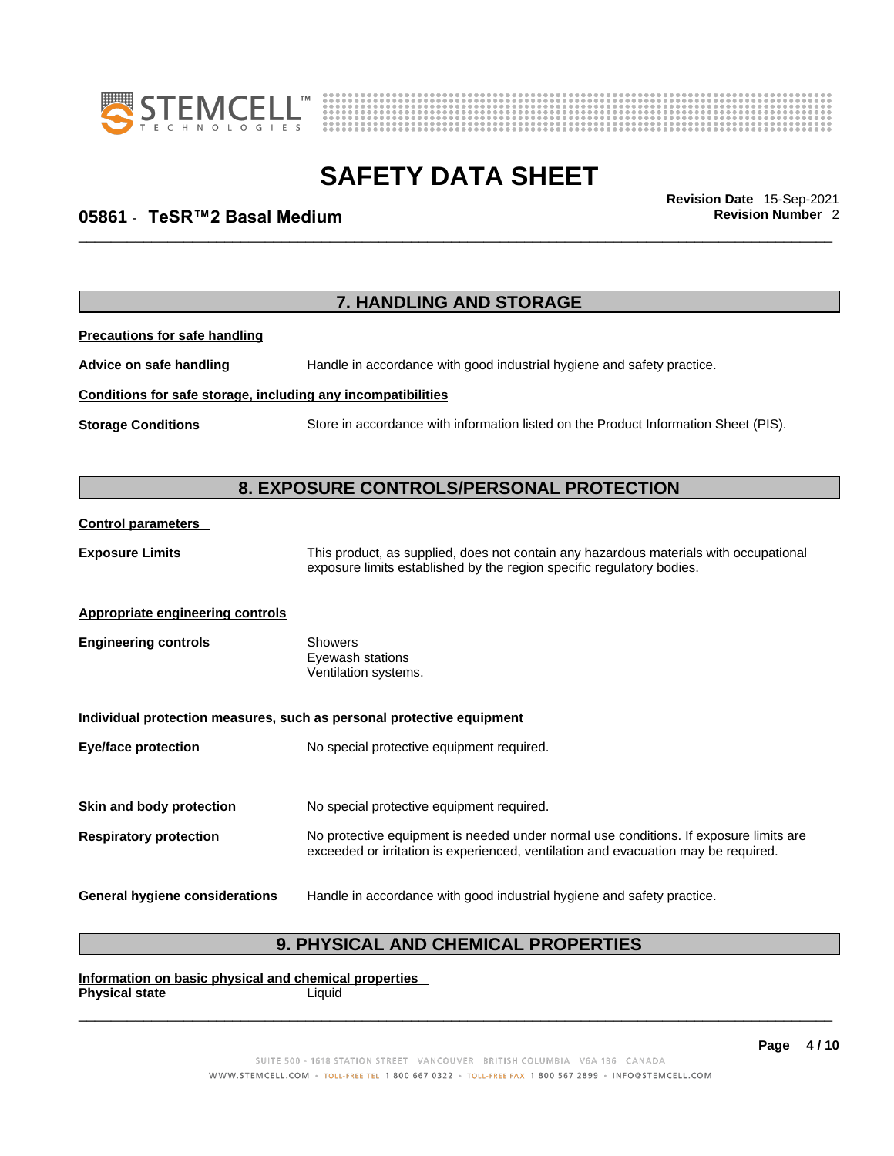



## \_\_\_\_\_\_\_\_\_\_\_\_\_\_\_\_\_\_\_\_\_\_\_\_\_\_\_\_\_\_\_\_\_\_\_\_\_\_\_\_\_\_\_\_\_\_\_\_\_\_\_\_\_\_\_\_\_\_\_\_\_\_\_\_\_\_\_\_\_\_\_\_\_\_\_\_\_\_\_\_\_\_\_\_\_\_\_\_\_\_\_\_\_ **Revision Date** 15-Sep-2021 **05861** - **TeSR™2 Basal Medium Revision Number** 2

|                                                              | 7. HANDLING AND STORAGE                                                                                                                                                     |
|--------------------------------------------------------------|-----------------------------------------------------------------------------------------------------------------------------------------------------------------------------|
| <b>Precautions for safe handling</b>                         |                                                                                                                                                                             |
| Advice on safe handling                                      | Handle in accordance with good industrial hygiene and safety practice.                                                                                                      |
| Conditions for safe storage, including any incompatibilities |                                                                                                                                                                             |
| <b>Storage Conditions</b>                                    | Store in accordance with information listed on the Product Information Sheet (PIS).                                                                                         |
|                                                              | 8. EXPOSURE CONTROLS/PERSONAL PROTECTION                                                                                                                                    |
| <b>Control parameters</b>                                    |                                                                                                                                                                             |
| <b>Exposure Limits</b>                                       | This product, as supplied, does not contain any hazardous materials with occupational<br>exposure limits established by the region specific regulatory bodies.              |
| Appropriate engineering controls                             |                                                                                                                                                                             |
| <b>Engineering controls</b>                                  | Showers<br>Eyewash stations<br>Ventilation systems.                                                                                                                         |
|                                                              | Individual protection measures, such as personal protective equipment                                                                                                       |
| <b>Eye/face protection</b>                                   | No special protective equipment required.                                                                                                                                   |
| Skin and body protection                                     | No special protective equipment required.                                                                                                                                   |
| <b>Respiratory protection</b>                                | No protective equipment is needed under normal use conditions. If exposure limits are<br>exceeded or irritation is experienced, ventilation and evacuation may be required. |
| <b>General hygiene considerations</b>                        | Handle in accordance with good industrial hygiene and safety practice.                                                                                                      |

### **9. PHYSICAL AND CHEMICAL PROPERTIES**

**Information on basic physical and chemical properties Physical state** Liquid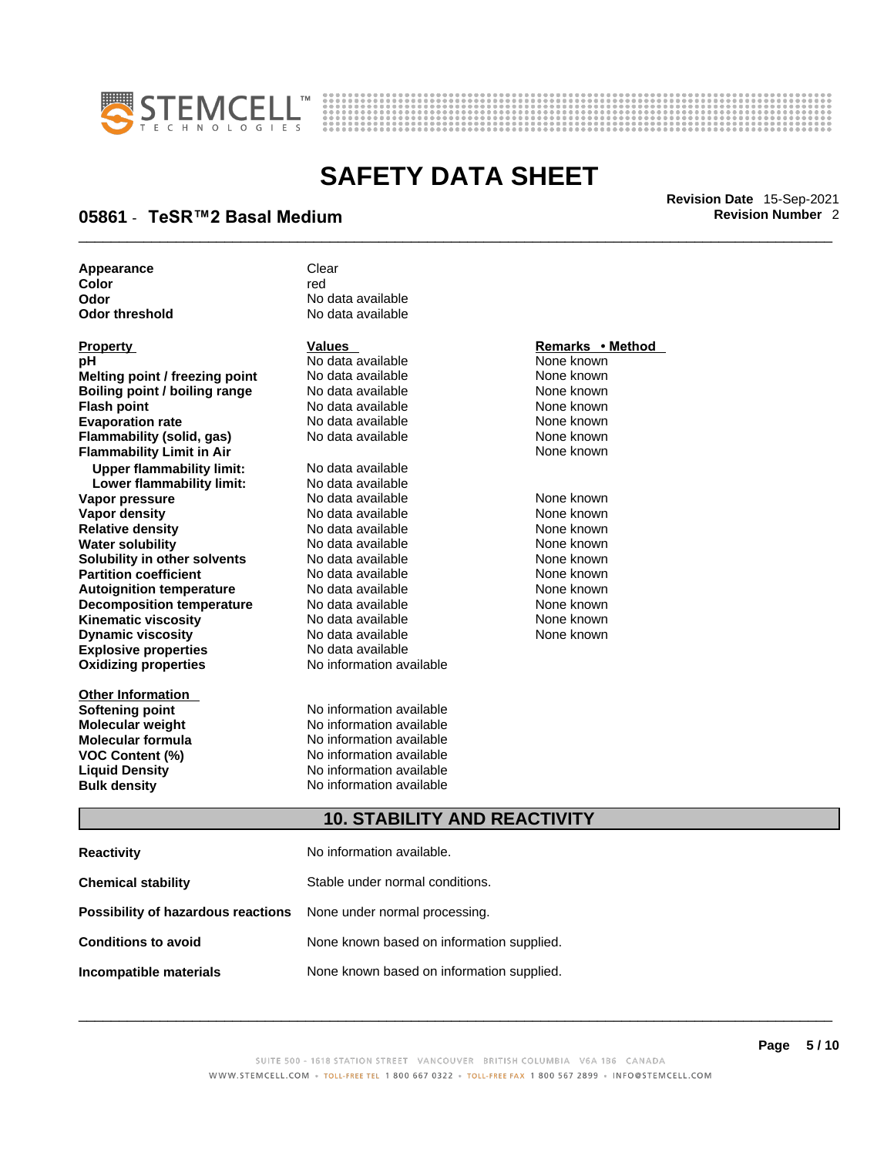



## \_\_\_\_\_\_\_\_\_\_\_\_\_\_\_\_\_\_\_\_\_\_\_\_\_\_\_\_\_\_\_\_\_\_\_\_\_\_\_\_\_\_\_\_\_\_\_\_\_\_\_\_\_\_\_\_\_\_\_\_\_\_\_\_\_\_\_\_\_\_\_\_\_\_\_\_\_\_\_\_\_\_\_\_\_\_\_\_\_\_\_\_\_ **Revision Date** 15-Sep-2021 **05861** - **TeSR™2 Basal Medium Revision Number** 2

**Appearance** Clear<br> **Color Color** red **Odor No data available**<br> **Odor threshold No data available** 

**Explosive properties**<br> **Oxidizing properties**<br> **Oxidizing properties**<br> **No information available Oxidizing properties Property CONSCRUTE ACCORDING METHOD Values <b>CONSCRUTE ACCORDING METHOD METHOD METHOD VALUES Property Remarks** • **Method pH** No data available None known **Melting point / freezing point** No data available None known<br> **Rojling point / bojling range** No data available None Known None known **Boiling point / boiling range** No data available **None known**<br>
No data available **None known**<br>
No data available **None known Evaporation rate Cone Cone Access Mone Cone Cone Cone Access Provident Cone Cone Access Provident Cone known<br>
<b>Flammability (solid. gas)** No data available Cone Cone Known **Flammability (solid, gas)** No data available None known **Flammability Limit in Air None known None known Upper flammability limit:** No data available **Lower flammability limit:** No data available **Vapor pressure** 1980 in the Modata available 1980 in the Known None known<br> **Vapor density** 1980 in the None Known None known None known **Vapor density** No data available None known **Relative density Water solubility** No data available None known **Solubility in other solvents** No data available None known **Partition coefficient**<br> **Autoignition temperature**<br>
No data available None None known<br>
None known **Autoignition temperature** Mo data available Mone known<br> **Decomposition temperature** No data available None known **Decomposition temperature** No data available<br> **Kinematic viscosity** No data available **Kinematic viscosity No data available None known**<br> **Discussible No data available None known**<br>
None known **Dynamic viscosity No data available None known** 

**Other Information** 

No data available

**No data available** 

**Softening point**<br> **Molecular weight**<br> **Molecular weight**<br> **Molecular weight**<br> **Molecular weight No information available Molecular formula** No information available **VOC Content (%)**<br> **Content (%)**<br>
No information available<br>
No information available **No information available Bulk density No information available** 

### **10. STABILITY AND REACTIVITY**

| <b>Reactivity</b>                                                       | No information available.                 |
|-------------------------------------------------------------------------|-------------------------------------------|
| <b>Chemical stability</b>                                               | Stable under normal conditions.           |
| <b>Possibility of hazardous reactions</b> None under normal processing. |                                           |
| <b>Conditions to avoid</b>                                              | None known based on information supplied. |
| Incompatible materials                                                  | None known based on information supplied. |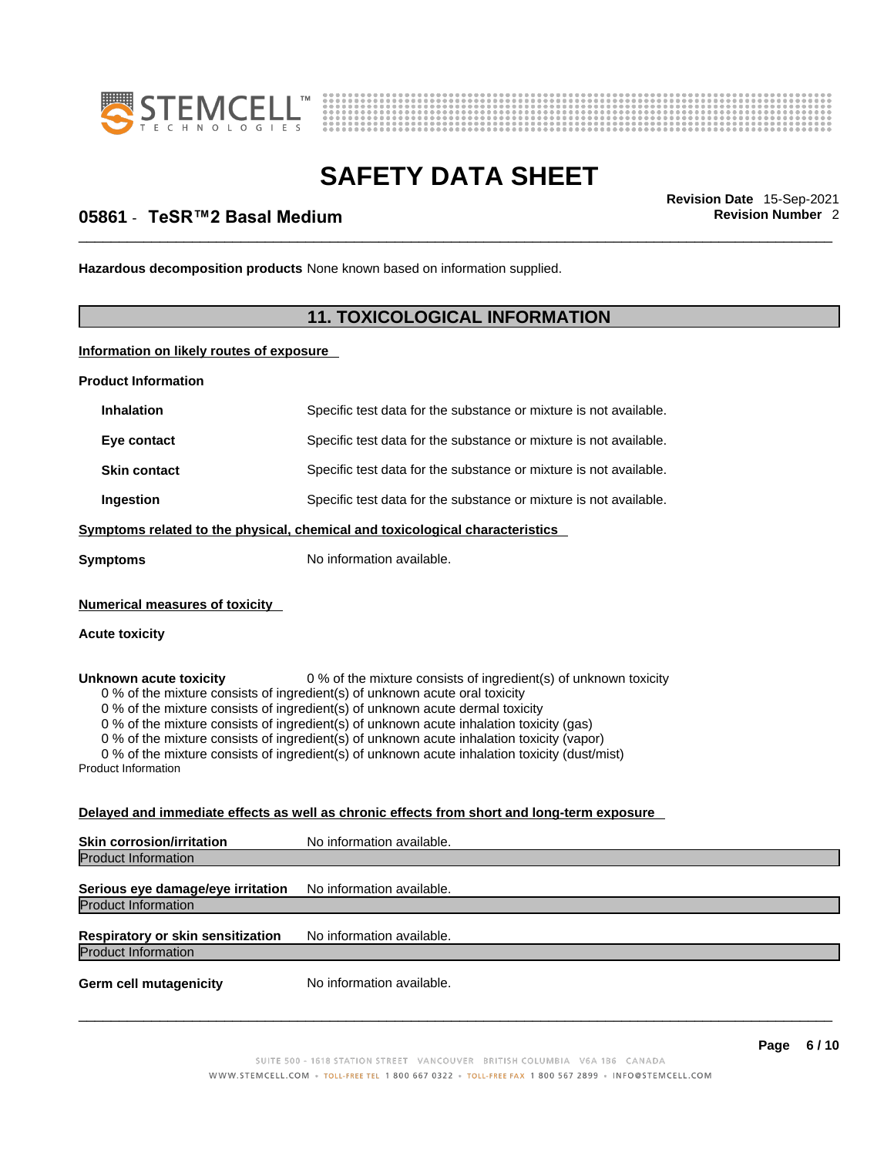



## \_\_\_\_\_\_\_\_\_\_\_\_\_\_\_\_\_\_\_\_\_\_\_\_\_\_\_\_\_\_\_\_\_\_\_\_\_\_\_\_\_\_\_\_\_\_\_\_\_\_\_\_\_\_\_\_\_\_\_\_\_\_\_\_\_\_\_\_\_\_\_\_\_\_\_\_\_\_\_\_\_\_\_\_\_\_\_\_\_\_\_\_\_ **Revision Date** 15-Sep-2021 **05861** - **TeSR™2 Basal Medium Revision Number** 2

**Hazardous decomposition products** None known based on information supplied.

### **11. TOXICOLOGICAL INFORMATION**

**Information on likely routes of exposure**

**Product Information**

| <b>Inhalation</b>                                              | Specific test data for the substance or mixture is not available.                                                                                                                                                                                                                                                                                                                                                                                                                                                         |
|----------------------------------------------------------------|---------------------------------------------------------------------------------------------------------------------------------------------------------------------------------------------------------------------------------------------------------------------------------------------------------------------------------------------------------------------------------------------------------------------------------------------------------------------------------------------------------------------------|
| Eye contact                                                    | Specific test data for the substance or mixture is not available.                                                                                                                                                                                                                                                                                                                                                                                                                                                         |
| <b>Skin contact</b>                                            | Specific test data for the substance or mixture is not available.                                                                                                                                                                                                                                                                                                                                                                                                                                                         |
| Ingestion                                                      | Specific test data for the substance or mixture is not available.                                                                                                                                                                                                                                                                                                                                                                                                                                                         |
|                                                                | <u>Symptoms related to the physical, chemical and toxicological characteristics</u>                                                                                                                                                                                                                                                                                                                                                                                                                                       |
| Symptoms                                                       | No information available.                                                                                                                                                                                                                                                                                                                                                                                                                                                                                                 |
| <b>Numerical measures of toxicity</b><br><b>Acute toxicity</b> |                                                                                                                                                                                                                                                                                                                                                                                                                                                                                                                           |
| Unknown acute toxicity<br><b>Product Information</b>           | 0 % of the mixture consists of ingredient(s) of unknown toxicity<br>0 % of the mixture consists of ingredient(s) of unknown acute oral toxicity<br>0 % of the mixture consists of ingredient(s) of unknown acute dermal toxicity<br>0 % of the mixture consists of ingredient(s) of unknown acute inhalation toxicity (gas)<br>0 % of the mixture consists of ingredient(s) of unknown acute inhalation toxicity (vapor)<br>0 % of the mixture consists of ingredient(s) of unknown acute inhalation toxicity (dust/mist) |
|                                                                | Delayed and immediate effects as well as chronic effects from short and long-term exposure                                                                                                                                                                                                                                                                                                                                                                                                                                |
| Skin corrosion/irritation                                      | No information available.                                                                                                                                                                                                                                                                                                                                                                                                                                                                                                 |
| <b>Product Information</b>                                     |                                                                                                                                                                                                                                                                                                                                                                                                                                                                                                                           |
| Serious eye damage/eye irritation                              | No information available.                                                                                                                                                                                                                                                                                                                                                                                                                                                                                                 |
| <b>Product Information</b>                                     |                                                                                                                                                                                                                                                                                                                                                                                                                                                                                                                           |
| Respiratory or skin sensitization                              | No information available.                                                                                                                                                                                                                                                                                                                                                                                                                                                                                                 |
| <b>Product Information</b>                                     |                                                                                                                                                                                                                                                                                                                                                                                                                                                                                                                           |
|                                                                |                                                                                                                                                                                                                                                                                                                                                                                                                                                                                                                           |

**Germ cell mutagenicity** No information available.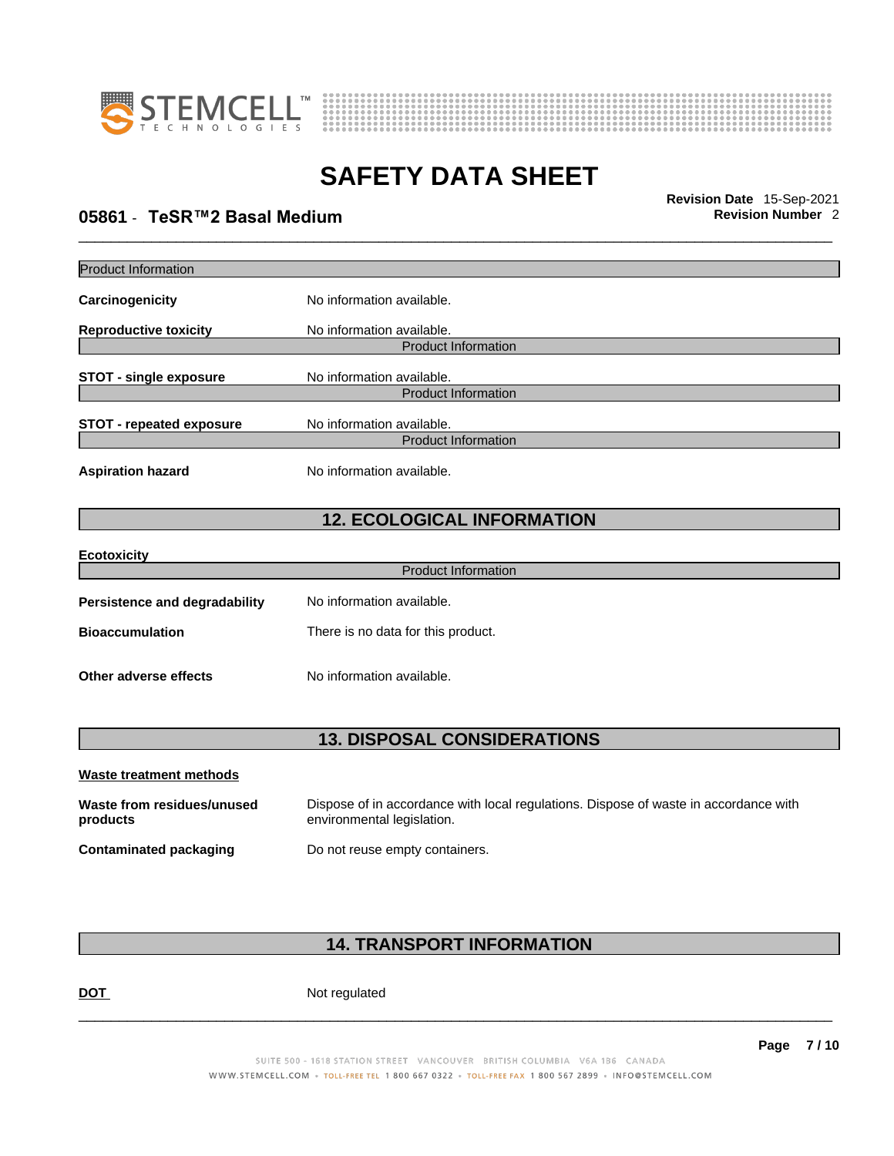



## \_\_\_\_\_\_\_\_\_\_\_\_\_\_\_\_\_\_\_\_\_\_\_\_\_\_\_\_\_\_\_\_\_\_\_\_\_\_\_\_\_\_\_\_\_\_\_\_\_\_\_\_\_\_\_\_\_\_\_\_\_\_\_\_\_\_\_\_\_\_\_\_\_\_\_\_\_\_\_\_\_\_\_\_\_\_\_\_\_\_\_\_\_ **Revision Date** 15-Sep-2021 **05861** - **TeSR™2 Basal Medium Revision Number** 2

| <b>Product Information</b>           |                                                         |  |  |
|--------------------------------------|---------------------------------------------------------|--|--|
| Carcinogenicity                      | No information available.                               |  |  |
|                                      |                                                         |  |  |
| <b>Reproductive toxicity</b>         | No information available.<br><b>Product Information</b> |  |  |
|                                      |                                                         |  |  |
| <b>STOT - single exposure</b>        | No information available.                               |  |  |
|                                      | <b>Product Information</b>                              |  |  |
| <b>STOT - repeated exposure</b>      | No information available.                               |  |  |
|                                      | <b>Product Information</b>                              |  |  |
| <b>Aspiration hazard</b>             | No information available.                               |  |  |
|                                      | <b>12. ECOLOGICAL INFORMATION</b>                       |  |  |
| <b>Ecotoxicity</b>                   |                                                         |  |  |
|                                      | <b>Product Information</b>                              |  |  |
| <b>Persistence and degradability</b> | No information available.                               |  |  |
| <b>Bioaccumulation</b>               | There is no data for this product.                      |  |  |
| Other adverse effects                | No information available.                               |  |  |
| <b>13. DISPOSAL CONSIDERATIONS</b>   |                                                         |  |  |
| <b>Waste treatment methods</b>       |                                                         |  |  |

| Waste from residues/unused    | Dispose of in accordance with local regulations. Dispose of waste in accordance with |
|-------------------------------|--------------------------------------------------------------------------------------|
| products                      | environmental legislation.                                                           |
| <b>Contaminated packaging</b> | Do not reuse empty containers.                                                       |

### **14. TRANSPORT INFORMATION**

DOT Not regulated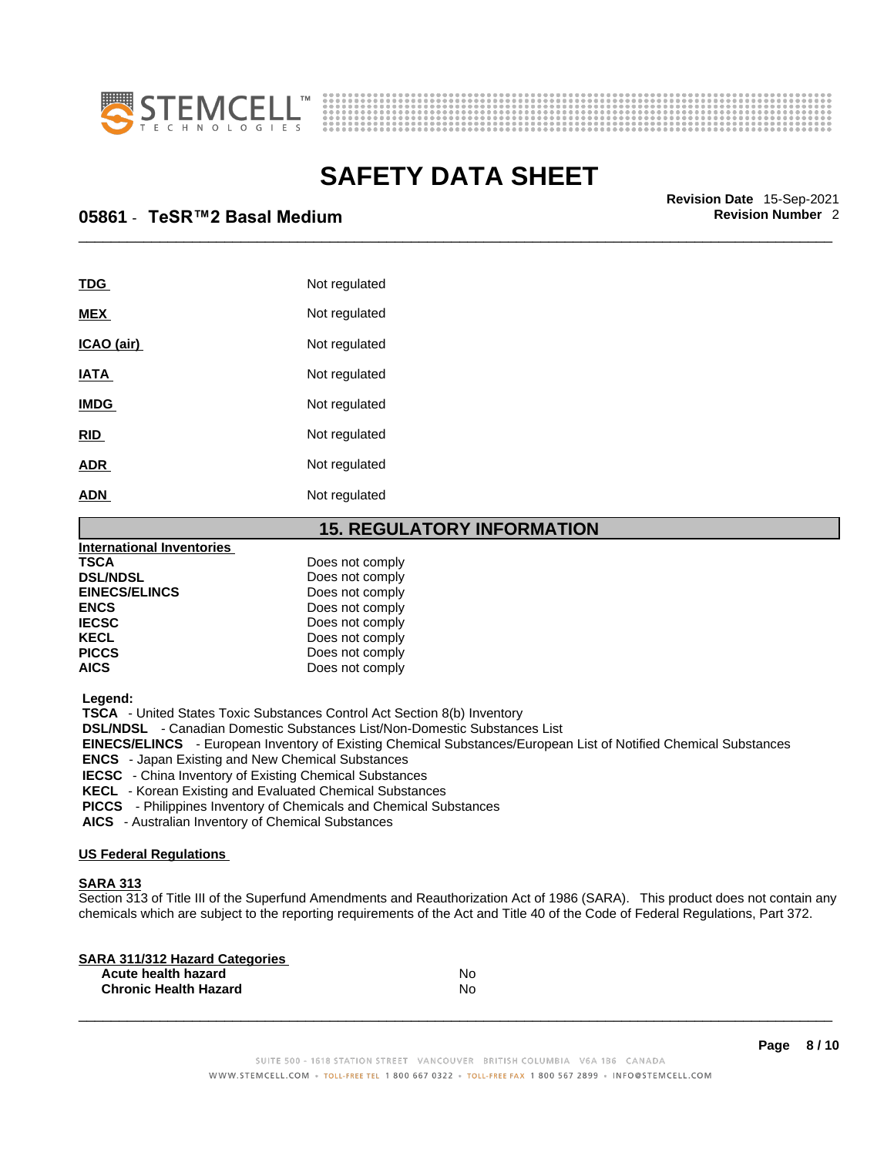



\_\_\_\_\_\_\_\_\_\_\_\_\_\_\_\_\_\_\_\_\_\_\_\_\_\_\_\_\_\_\_\_\_\_\_\_\_\_\_\_\_\_\_\_\_\_\_\_\_\_\_\_\_\_\_\_\_\_\_\_\_\_\_\_\_\_\_\_\_\_\_\_\_\_\_\_\_\_\_\_\_\_\_\_\_\_\_\_\_\_\_\_\_ **Revision Date** 15-Sep-2021 **05861** - **TeSR™2 Basal Medium Revision Number** 2

| TDG         | Not regulated |
|-------------|---------------|
| <b>MEX</b>  | Not regulated |
| ICAO (air)  | Not regulated |
| <b>IATA</b> | Not regulated |
| <b>IMDG</b> | Not regulated |
| <b>RID</b>  | Not regulated |
| <b>ADR</b>  | Not regulated |
| <b>ADN</b>  | Not regulated |

### **15. REGULATORY INFORMATION**

| <b>International Inventories</b> |                 |  |
|----------------------------------|-----------------|--|
| <b>TSCA</b>                      | Does not comply |  |
| <b>DSL/NDSL</b>                  | Does not comply |  |
| <b>EINECS/ELINCS</b>             | Does not comply |  |
| <b>ENCS</b>                      | Does not comply |  |
| <b>IECSC</b>                     | Does not comply |  |
| <b>KECL</b>                      | Does not comply |  |
| <b>PICCS</b>                     | Does not comply |  |
| <b>AICS</b>                      | Does not comply |  |
|                                  |                 |  |

 **Legend:** 

 **TSCA** - United States Toxic Substances Control Act Section 8(b) Inventory

 **DSL/NDSL** - Canadian Domestic Substances List/Non-Domestic Substances List

 **EINECS/ELINCS** - European Inventory of Existing Chemical Substances/European List of Notified Chemical Substances

 **ENCS** - Japan Existing and New Chemical Substances

 **IECSC** - China Inventory of Existing Chemical Substances

 **KECL** - Korean Existing and Evaluated Chemical Substances

 **PICCS** - Philippines Inventory of Chemicals and Chemical Substances

 **AICS** - Australian Inventory of Chemical Substances

### **US Federal Regulations**

### **SARA 313**

Section 313 of Title III of the Superfund Amendments and Reauthorization Act of 1986 (SARA). This product does not contain any chemicals which are subject to the reporting requirements of the Act and Title 40 of the Code of Federal Regulations, Part 372.

| No |  |
|----|--|
| No |  |
|    |  |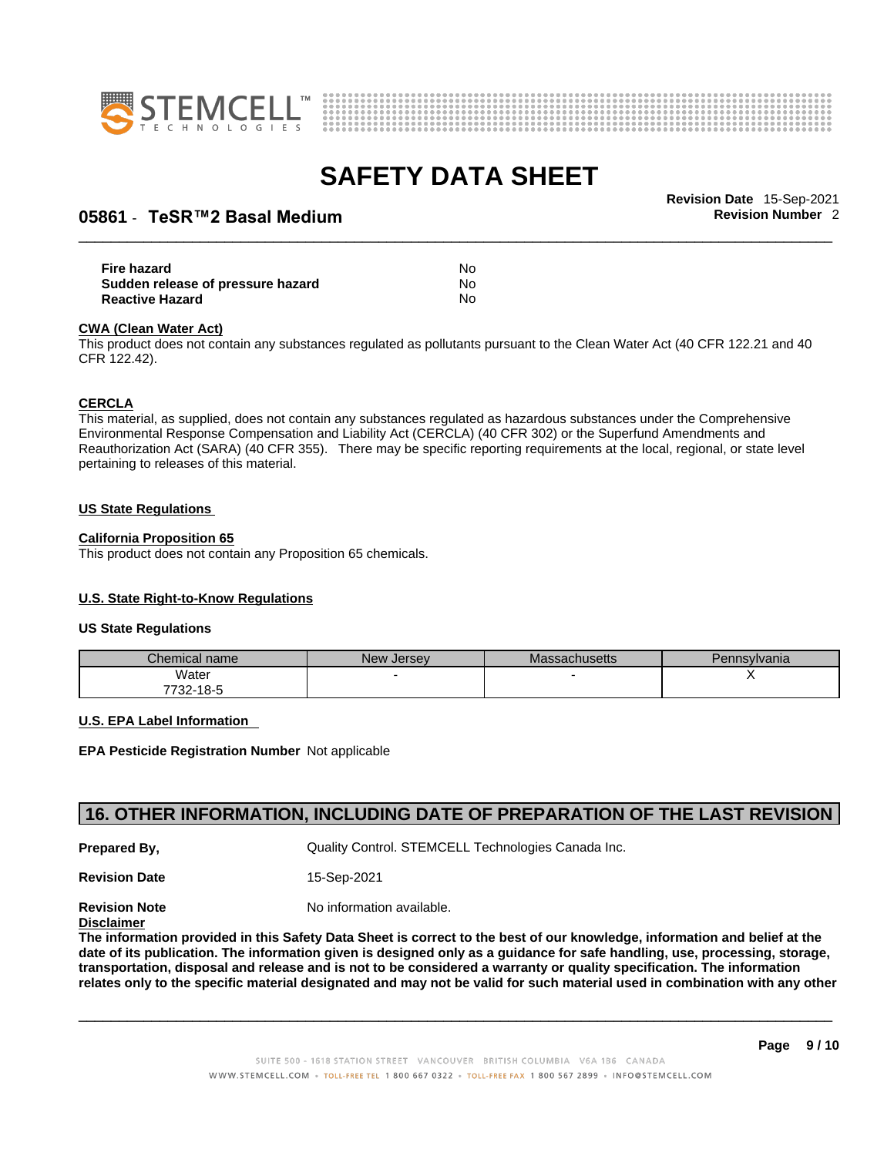



## \_\_\_\_\_\_\_\_\_\_\_\_\_\_\_\_\_\_\_\_\_\_\_\_\_\_\_\_\_\_\_\_\_\_\_\_\_\_\_\_\_\_\_\_\_\_\_\_\_\_\_\_\_\_\_\_\_\_\_\_\_\_\_\_\_\_\_\_\_\_\_\_\_\_\_\_\_\_\_\_\_\_\_\_\_\_\_\_\_\_\_\_\_ **Revision Date** 15-Sep-2021 **05861** - **TeSR™2 Basal Medium Revision Number** 2

| Fire hazard                       | No |  |
|-----------------------------------|----|--|
| Sudden release of pressure hazard | No |  |
| <b>Reactive Hazard</b>            | No |  |

#### **CWA** (Clean Water Act)

This product does not contain any substances regulated as pollutants pursuant to the Clean Water Act (40 CFR 122.21 and 40 CFR 122.42).

#### **CERCLA**

This material, as supplied, does not contain any substances regulated as hazardous substances under the Comprehensive Environmental Response Compensation and Liability Act (CERCLA) (40 CFR 302) or the Superfund Amendments and Reauthorization Act (SARA) (40 CFR 355). There may be specific reporting requirements at the local, regional, or state level pertaining to releases of this material.

#### **US State Regulations**

#### **California Proposition 65**

This product does not contain any Proposition 65 chemicals.

### **U.S. State Right-to-Know Regulations**

#### **US State Regulations**

| Chemical name | <b>New Jersey</b> | <b>Massachusetts</b> | Pennsylvania |
|---------------|-------------------|----------------------|--------------|
| Water         |                   |                      |              |
| 7732-18-5     |                   |                      |              |

#### **U.S. EPA Label Information**

**EPA Pesticide Registration Number** Not applicable

### **16. OTHER INFORMATION, INCLUDING DATE OF PREPARATION OF THE LAST REVISION**

**Prepared By, State Control. STEMCELL Technologies Canada Inc.** Cuality Control. STEMCELL Technologies Canada Inc.

**Revision Date** 15-Sep-2021

**Revision Note** Noinformation available.

### **Disclaimer**

The information provided in this Safety Data Sheet is correct to the best of our knowledge, information and belief at the date of its publication. The information given is designed only as a guidance for safe handling, use, processing, storage, transportation, disposal and release and is not to be considered a warranty or quality specification. The information relates only to the specific material designated and may not be valid for such material used in combination with any other